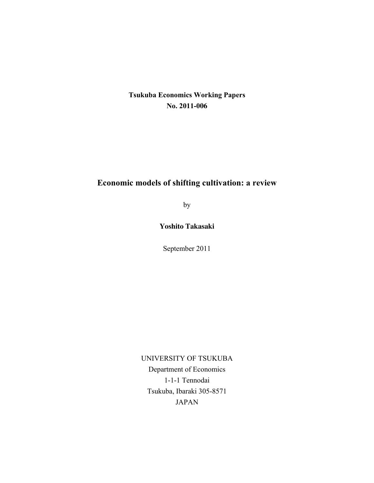# **Tsukuba Economics Working Papers No. 2011-006**

# **Economic models of shifting cultivation: a review**

by

**Yoshito Takasaki**

September 2011

UNIVERSITY OF TSUKUBA Department of Economics 1-1-1 Tennodai Tsukuba, Ibaraki 305-8571 JAPAN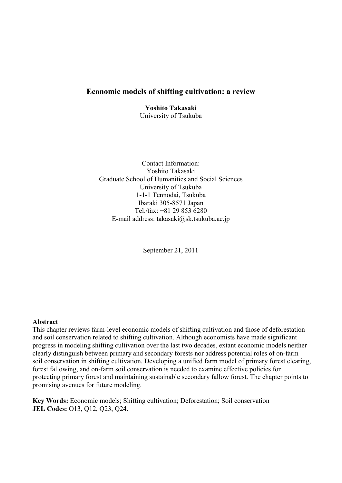# **Economic models of shifting cultivation: a review**

**Yoshito Takasaki** University of Tsukuba

Contact Information: Yoshito Takasaki Graduate School of Humanities and Social Sciences University of Tsukuba 1-1-1 Tennodai, Tsukuba Ibaraki 305-8571 Japan Tel./fax: +81 29 853 6280 E-mail address: takasaki@sk.tsukuba.ac.jp

September 21, 2011

# **Abstract**

This chapter reviews farm-level economic models of shifting cultivation and those of deforestation and soil conservation related to shifting cultivation. Although economists have made significant progress in modeling shifting cultivation over the last two decades, extant economic models neither clearly distinguish between primary and secondary forests nor address potential roles of on-farm soil conservation in shifting cultivation. Developing a unified farm model of primary forest clearing, forest fallowing, and on-farm soil conservation is needed to examine effective policies for protecting primary forest and maintaining sustainable secondary fallow forest. The chapter points to promising avenues for future modeling.

**Key Words:** Economic models; Shifting cultivation; Deforestation; Soil conservation **JEL Codes:** O13, Q12, Q23, Q24.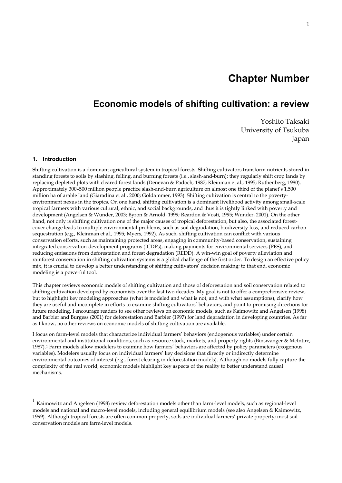# **Chapter Number**

# **Economic models of shifting cultivation: a review**

Yoshito Taksaki University of Tsukuba Japan

# **1. Introduction**

1

Shifting cultivation is a dominant agricultural system in tropical forests. Shifting cultivators transform nutrients stored in standing forests to soils by slashing, felling, and burning forests (i.e., slash-and-burn); they regularly shift crop lands by replacing depleted plots with cleared forest lands (Denevan & Padoch, 1987; Kleinman et al., 1995; Ruthenberg, 1980). Approximately 300–500 million people practice slash-and-burn agriculture on almost one third of the planet's 1,500 million ha of arable land (Giaradina et al., 2000; Goldammer, 1993). Shifting cultivation is central to the povertyenvironment nexus in the tropics. On one hand, shifting cultivation is a dominant livelihood activity among small-scale tropical farmers with various cultural, ethnic, and social backgrounds, and thus it is tightly linked with poverty and development (Angelsen & Wunder, 2003; Byron & Arnold, 1999; Reardon & Vosti, 1995; Wunder, 2001). On the other hand, not only is shifting cultivation one of the major causes of tropical deforestation, but also, the associated forestcover change leads to multiple environmental problems, such as soil degradation, biodiversity loss, and reduced carbon sequestration (e.g., Kleinman et al., 1995; Myers, 1992). As such, shifting cultivation can conflict with various conservation efforts, such as maintaining protected areas, engaging in community-based conservation, sustaining integrated conservation-development programs (ICDPs), making payments for environmental services (PES), and reducing emissions from deforestation and forest degradation (REDD). A win-win goal of poverty alleviation and rainforest conservation in shifting cultivation systems is a global challenge of the first order. To design an effective policy mix, it is crucial to develop a better understanding of shifting cultivators' decision making; to that end, economic modeling is a powerful tool.

This chapter reviews economic models of shifting cultivation and those of deforestation and soil conservation related to shifting cultivation developed by economists over the last two decades. My goal is not to offer a comprehensive review, but to highlight key modeling approaches (what is modeled and what is not, and with what assumptions), clarify how they are useful and incomplete in efforts to examine shifting cultivators' behaviors, and point to promising directions for future modeling. I encourage readers to see other reviews on economic models, such as Kaimowitz and Angelsen (1998) and Barbier and Burgess (2001) for deforestation and Barbier (1997) for land degradation in developing countries. As far as I know, no other reviews on economic models of shifting cultivation are available.

I focus on farm-level models that characterize individual farmers' behaviors (endogenous variables) under certain environmental and institutional conditions, such as resource stock, markets, and property rights (Binswanger & McIntire, 1987).1 Farm models allow modelers to examine how farmers' behaviors are affected by policy parameters (exogenous variables). Modelers usually focus on individual farmers' key decisions that directly or indirectly determine environmental outcomes of interest (e.g., forest clearing in deforestation models). Although no models fully capture the complexity of the real world, economic models highlight key aspects of the reality to better understand causal mechanisms.

 $1$  Kaimowitz and Angelsen (1998) review deforestation models other than farm-level models, such as regional-level models and national and macro-level models, including general equilibrium models (see also Angelsen & Kaimowitz, 1999). Although tropical forests are often common property, soils are individual farmers' private property; most soil conservation models are farm-level models.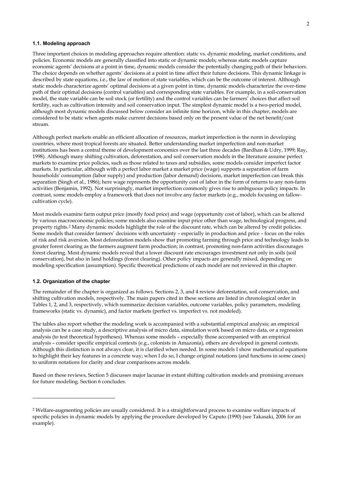#### **1.1. Modeling approach**

Three important choices in modeling approaches require attention: static vs. dynamic modeling, market conditions, and policies. Economic models are generally classified into static or dynamic models; whereas static models capture economic agents' decisions at a point in time, dynamic models consider the potentially changing path of their behaviors. The choice depends on whether agents' decisions at a point in time affect their future decisions. This dynamic linkage is described by state equations, i.e., the law of motion of state variables, which can be the outcome of interest. Although static models characterize agents' optimal decisions at a given point in time, dynamic models characterize the over-time path of their optimal decisions (control variables) and corresponding state variables. For example, in a soil-conservation model, the state variable can be soil stock (or fertility) and the control variables can be farmers' choices that affect soil fertility, such as cultivation intensity and soil conservation input. The simplest dynamic model is a two-period model, although most dynamic models discussed below consider an infinite time horizon, while in this chapter, models are considered to be static when agents make current decisions based only on the present value of the net benefit/cost stream.

Although perfect markets enable an efficient allocation of resources, market imperfection is the norm in developing countries, where most tropical forests are situated. Better understanding market imperfection and non-market institutions has been a central theme of development economics over the last three decades (Bardhan & Udry, 1999; Ray, 1998). Although many shifting cultivation, deforestation, and soil conservation models in the literature assume perfect markets to examine price policies, such as those related to taxes and subsidies, some models consider imperfect factor markets. In particular, although with a perfect labor market a market price (wage) supports a separation of farm households' consumption (labor supply) and production (labor demand) decisions, market imperfection can break this separation (Singh et al., 1986); here wage represents the opportunity cost of labor in the form of returns to any non-farm activities (Benjamin, 1992). Not surprisingly, market imperfection commonly gives rise to ambiguous policy impacts. In contrast, some models employ a framework that does not involve any factor markets (e.g., models focusing on fallowcultivation cycle).

Most models examine farm output price (mostly food price) and wage (opportunity cost of labor), which can be altered by various macroeconomic policies; some models also examine input price other than wage, technological progress, and property rights.2 Many dynamic models highlight the role of the discount rate, which can be altered by credit policies. Some models that consider farmers' decisions with uncertainty – especially in production and price – focus on the roles of risk and risk aversion. Most deforestation models show that promoting farming through price and technology leads to greater forest clearing as the farmers augment farm production; in contrast, promoting non-farm activities discourages forest clearing. Most dynamic models reveal that a lower discount rate encourages investment not only in soils (soil conservation), but also in land holdings (forest clearing). Other policy impacts are generally mixed, depending on modeling specification (assumption). Specific theoretical predictions of each model are not reviewed in this chapter.

#### **1.2. Organization of the chapter**

1

The remainder of the chapter is organized as follows. Sections 2, 3, and 4 review deforestation, soil conservation, and shifting cultivation models, respectively. The main papers cited in these sections are listed in chronological order in Tables 1, 2, and 3, respectively, which summarize decision variables, outcome variables, policy parameters, modeling frameworks (static vs. dynamic), and factor markets (perfect vs. imperfect vs. not modeled).

The tables also report whether the modeling work is accompanied with a substantial empirical analysis; an empirical analysis can be a case study, a descriptive analysis of micro data, simulation work based on micro data, or a regression analysis (to test theoretical hypotheses). Whereas some models – especially those accompanied with an empirical analysis – consider specific empirical contexts (e.g., colonists in Amazonia), others are developed in general contexts. Although this distinction is not always clear, it is clarified when needed. In some models I show mathematical equations to highlight their key features in a concrete way; when I do so, I change original notations (and functions in some cases) to uniform notations for clarity and clear comparisons across models.

Based on these reviews, Section 5 discusses major lacunae in extant shifting cultivation models and promising avenues for future modeling. Section 6 concludes.

<sup>2</sup> Welfare-augmenting policies are usually considered. It is a straightforward process to examine welfare impacts of specific policies in dynamic models by applying the procedure developed by Caputo (1990) (see Takasaki, 2006 for an example).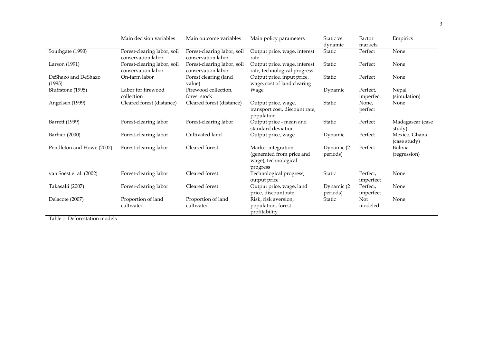|                               | Main decision variables                           | Main outcome variables                            | Main policy parameters                                                              | Static vs.<br>dynamic   | Factor<br>markets     | Empirics                       |
|-------------------------------|---------------------------------------------------|---------------------------------------------------|-------------------------------------------------------------------------------------|-------------------------|-----------------------|--------------------------------|
| Southgate (1990)              | Forest-clearing labor, soil<br>conservation labor | Forest-clearing labor, soil<br>conservation labor | Output price, wage, interest<br>rate                                                | Static                  | Perfect               | None                           |
| Larson (1991)                 | Forest-clearing labor, soil<br>conservation labor | Forest-clearing labor, soil<br>conservation labor | Output price, wage, interest<br>rate, technological progress                        | Static                  | Perfect               | None                           |
| DeShazo and DeShazo<br>(1995) | On-farm labor                                     | Forest clearing (land<br>value)                   | Output price, input price,<br>wage, cost of land clearing                           | Static                  | Perfect               | None                           |
| Bluffstone (1995)             | Labor for firewood<br>collection                  | Firewood collection,<br>forest stock              | Wage                                                                                | Dynamic                 | Perfect,<br>imperfect | Nepal<br>(simulation)          |
| Angelsen (1999)               | Cleared forest (distance)                         | Cleared forest (distance)                         | Output price, wage,<br>transport cost, discount rate,<br>population                 | Static                  | None,<br>perfect      | None                           |
| Barrett (1999)                | Forest-clearing labor                             | Forest-clearing labor                             | Output price - mean and<br>standard deviation                                       | Static                  | Perfect               | Madagascar (case<br>study)     |
| Barbier (2000)                | Forest-clearing labor                             | Cultivated land                                   | Output price, wage                                                                  | Dynamic                 | Perfect               | Mexico, Ghana<br>(case study)  |
| Pendleton and Howe (2002)     | Forest-clearing labor                             | Cleared forest                                    | Market integration<br>(generated from price and<br>wage), technological<br>progress | Dynamic (2)<br>periods) | Perfect               | <b>Bolivia</b><br>(regression) |
| van Soest et al. (2002)       | Forest-clearing labor                             | Cleared forest                                    | Technological progress,<br>output price                                             | Static                  | Perfect,<br>imperfect | None                           |
| Takasaki (2007)               | Forest-clearing labor                             | Cleared forest                                    | Output price, wage, land<br>price, discount rate                                    | Dynamic (2)<br>periods) | Perfect,<br>imperfect | None                           |
| Delacote (2007)               | Proportion of land<br>cultivated                  | Proportion of land<br>cultivated                  | Risk, risk aversion,<br>population, forest<br>profitability                         | Static                  | Not<br>modeled        | None                           |

Table 1. Deforestation models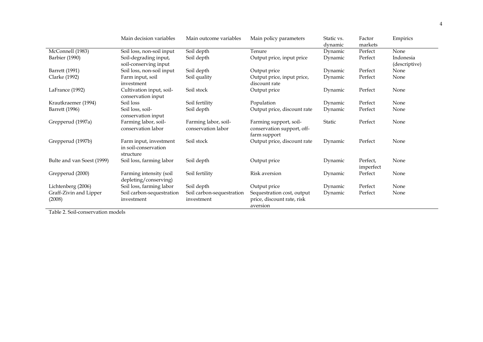|                            | Main decision variables                                     | Main outcome variables                     | Main policy parameters                                               | Static vs.<br>dynamic | Factor<br>markets     | Empirics                   |
|----------------------------|-------------------------------------------------------------|--------------------------------------------|----------------------------------------------------------------------|-----------------------|-----------------------|----------------------------|
| McConnell (1983)           | Soil loss, non-soil input                                   | Soil depth                                 | Tenure                                                               | Dynamic               | Perfect               | None                       |
| Barbier (1990)             | Soil-degrading input,<br>soil-conserving input              | Soil depth                                 | Output price, input price                                            | Dynamic               | Perfect               | Indonesia<br>(descriptive) |
| Barrett (1991)             | Soil loss, non-soil input                                   | Soil depth                                 | Output price                                                         | Dynamic               | Perfect               | None                       |
| Clarke (1992)              | Farm input, soil<br>investment                              | Soil quality                               | Output price, input price,<br>discount rate                          | Dynamic               | Perfect               | None                       |
| LaFrance (1992)            | Cultivation input, soil-<br>conservation input              | Soil stock                                 | Output price                                                         | Dynamic               | Perfect               | None                       |
| Krautkraemer (1994)        | Soil loss                                                   | Soil fertility                             | Population                                                           | Dynamic               | Perfect               | None                       |
| Barrett (1996)             | Soil loss, soil-<br>conservation input                      | Soil depth                                 | Output price, discount rate                                          | Dynamic               | Perfect               | None                       |
| Grepperud (1997a)          | Farming labor, soil-<br>conservation labor                  | Farming labor, soil-<br>conservation labor | Farming support, soil-<br>conservation support, off-<br>farm support | Static                | Perfect               | None                       |
| Grepperud (1997b)          | Farm input, investment<br>in soil-conservation<br>structure | Soil stock                                 | Output price, discount rate                                          | Dynamic               | Perfect               | None                       |
| Bulte and van Soest (1999) | Soil loss, farming labor                                    | Soil depth                                 | Output price                                                         | Dynamic               | Perfect,<br>imperfect | None                       |
| Grepperud (2000)           | Farming intensity (soil<br>depleting/conserving)            | Soil fertility                             | Risk aversion                                                        | Dynamic               | Perfect               | None                       |
| Lichtenberg (2006)         | Soil loss, farming labor                                    | Soil depth                                 | Output price                                                         | Dynamic               | Perfect               | None                       |
| Graff-Zivin and Lipper     | Soil carbon-sequestration                                   | Soil carbon-sequestration                  | Sequestration cost, output                                           | Dynamic               | Perfect               | None                       |
| (2008)                     | investment                                                  | investment                                 | price, discount rate, risk<br>aversion                               |                       |                       |                            |

Table 2. Soil-conservation models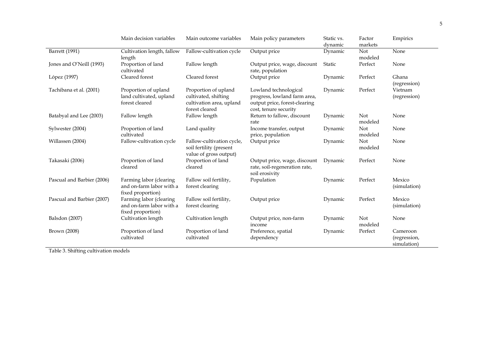|                            | Main decision variables                                                  | Main outcome variables                                                                     | Main policy parameters                                                                                          | Static vs.<br>dynamic | Factor<br>markets | Empirics                                |
|----------------------------|--------------------------------------------------------------------------|--------------------------------------------------------------------------------------------|-----------------------------------------------------------------------------------------------------------------|-----------------------|-------------------|-----------------------------------------|
| Barrett (1991)             | Cultivation length, fallow<br>length                                     | Fallow-cultivation cycle                                                                   | Output price                                                                                                    | Dynamic               | Not<br>modeled    | None                                    |
| Jones and O'Neill (1993)   | Proportion of land<br>cultivated                                         | Fallow length                                                                              | Output price, wage, discount<br>rate, population                                                                | Static                | Perfect           | None                                    |
| López (1997)               | Cleared forest                                                           | Cleared forest                                                                             | Output price                                                                                                    | Dynamic               | Perfect           | Ghana<br>(regression)                   |
| Tachibana et al. (2001)    | Proportion of upland<br>land cultivated, upland<br>forest cleared        | Proportion of upland<br>cultivated, shifting<br>cultivation area, upland<br>forest cleared | Lowland technological<br>progress, lowland farm area,<br>output price, forest-clearing<br>cost, tenure security | Dynamic               | Perfect           | Vietnam<br>(regression)                 |
| Batabyal and Lee (2003)    | Fallow length                                                            | Fallow length                                                                              | Return to fallow, discount<br>rate                                                                              | Dynamic               | Not<br>modeled    | None                                    |
| Sylwester (2004)           | Proportion of land<br>cultivated                                         | Land quality                                                                               | Income transfer, output<br>price, population                                                                    | Dynamic               | Not<br>modeled    | None                                    |
| Willassen (2004)           | Fallow-cultivation cycle                                                 | Fallow-cultivation cycle,<br>soil fertility (present<br>value of gross output)             | Output price                                                                                                    | Dynamic               | Not<br>modeled    | None                                    |
| Takasaki (2006)            | Proportion of land<br>cleared                                            | Proportion of land<br>cleared                                                              | Output price, wage, discount<br>rate, soil-regeneration rate,<br>soil erosivity                                 | Dynamic               | Perfect           | None                                    |
| Pascual and Barbier (2006) | Farming labor (clearing<br>and on-farm labor with a<br>fixed proportion) | Fallow soil fertility,<br>forest clearing                                                  | Population                                                                                                      | Dynamic               | Perfect           | Mexico<br>(simulation)                  |
| Pascual and Barbier (2007) | Farming labor (clearing<br>and on-farm labor with a<br>fixed proportion) | Fallow soil fertility,<br>forest clearing                                                  | Output price                                                                                                    | Dynamic               | Perfect           | Mexico<br>(simulation)                  |
| Balsdon (2007)             | Cultivation length                                                       | Cultivation length                                                                         | Output price, non-farm<br>income                                                                                | Dynamic               | Not<br>modeled    | None                                    |
| Brown (2008)               | Proportion of land<br>cultivated                                         | Proportion of land<br>cultivated                                                           | Preference, spatial<br>dependency                                                                               | Dynamic               | Perfect           | Cameroon<br>(regression,<br>simulation) |

Table 3. Shifting cultivation models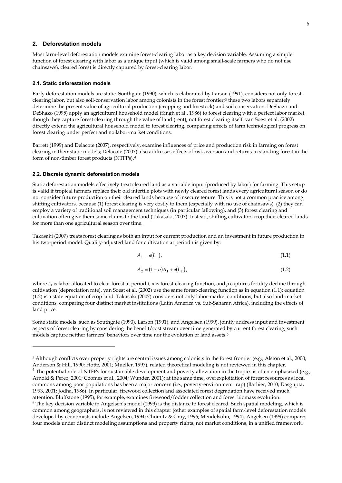## **2. Deforestation models**

Most farm-level deforestation models examine forest-clearing labor as a key decision variable. Assuming a simple function of forest clearing with labor as a unique input (which is valid among small-scale farmers who do not use chainsaws), cleared forest is directly captured by forest-clearing labor.

#### **2.1. Static deforestation models**

Early deforestation models are static. Southgate (1990), which is elaborated by Larson (1991), considers not only forestclearing labor, but also soil-conservation labor among colonists in the forest frontier;3 these two labors separately determine the present value of agricultural production (cropping and livestock) and soil conservation. DeShazo and DeShazo (1995) apply an agricultural household model (Singh et al., 1986) to forest clearing with a perfect labor market, though they capture forest clearing through the value of land (rent), not forest clearing itself. van Soest et al. (2002) directly extend the agricultural household model to forest clearing, comparing effects of farm technological progress on forest clearing under perfect and no labor-market conditions.

Barrett (1999) and Delacote (2007), respectively, examine influences of price and production risk in farming on forest clearing in their static models; Delacote (2007) also addresses effects of risk aversion and returns to standing forest in the form of non-timber forest products (NTFPs).4

#### **2.2. Discrete dynamic deforestation models**

1

Static deforestation models effectively treat cleared land as a variable input (produced by labor) for farming. This setup is valid if tropical farmers replace their old infertile plots with newly cleared forest lands every agricultural season or do not consider future production on their cleared lands because of insecure tenure. This is not a common practice among shifting cultivators, because (1) forest clearing is very costly to them (especially with no use of chainsaws), (2) they can employ a variety of traditional soil management techniques (in particular fallowing), and (3) forest clearing and cultivation often give them some claims to the land (Takasaki, 2007). Instead, shifting cultivators crop their cleared lands for more than one agricultural season over time.

Takasaki (2007) treats forest clearing as both an input for current production and an investment in future production in his two-period model. Quality-adjusted land for cultivation at period *t* is given by:

$$
A_1 = a(L_1), \t\t(1.1)
$$

$$
A_2 = (1 - \rho)A_1 + a(L_2), \tag{1.2}
$$

where  $L_t$  is labor allocated to clear forest at period  $t$ ,  $a$  is forest-clearing function, and  $\rho$  captures fertility decline through cultivation (depreciation rate). van Soest et al. (2002) use the same forest-clearing function as in equation (1.1); equation (1.2) is a state equation of crop land. Takasaki (2007) considers not only labor-market conditions, but also land-market conditions, comparing four distinct market institutions (Latin America vs. Sub-Saharan Africa), including the effects of land price.

Some static models, such as Southgate (1990), Larson (1991), and Angelsen (1999), jointly address input and investment aspects of forest clearing by considering the benefit/cost stream over time generated by current forest clearing; such models capture neither farmers' behaviors over time nor the evolution of land assets.5

<sup>3</sup> Although conflicts over property rights are central issues among colonists in the forest frontier (e.g., Alston et al., 2000; Anderson & Hill, 1990; Hotte, 2001; Mueller, 1997), related theoretical modeling is not reviewed in this chapter.

 $4$  The potential role of NTFPs for sustainable development and poverty alleviation in the tropics is often emphasized (e.g., Arnold & Perez, 2001; Coomes et al., 2004; Wunder, 2001); at the same time, overexploitation of forest resources as local commons among poor populations has been a major concern (i.e., poverty-environment trap) (Barbier, 2010; Dasgupta, 1993, 2001; Jodha, 1986). In particular, firewood collection and associated forest degradation have received much attention. Bluffstone (1995), for example, examines firewood/fodder collection and forest biomass evolution.

<sup>5</sup> The key decision variable in Angelsen's model (1999) is the distance to forest cleared. Such spatial modeling, which is common among geographers, is not reviewed in this chapter (other examples of spatial farm-level deforestation models developed by economists include Angelsen, 1994; Chomitz & Gray, 1996; Mendelsohn, 1994). Angelsen (1999) compares four models under distinct modeling assumptions and property rights, not market conditions, in a unified framework.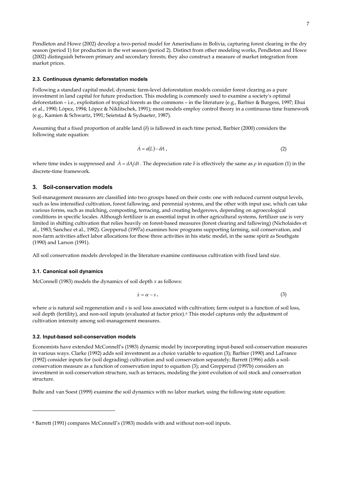7

Pendleton and Howe (2002) develop a two-period model for Amerindians in Bolivia, capturing forest clearing in the dry season (period 1) for production in the wet season (period 2). Distinct from other modeling works, Pendleton and Howe (2002) distinguish between primary and secondary forests; they also construct a measure of market integration from market prices.

## **2.3. Continuous dynamic deforestation models**

Following a standard capital model, dynamic farm-level deforestation models consider forest clearing as a pure investment in land capital for future production. This modeling is commonly used to examine a society's optimal deforestation – i.e., exploitation of tropical forests as the commons – in the literature (e.g., Barbier & Burgess, 1997; Ehui et al., 1990; López, 1994; López & Niklitschek, 1991); most models employ control theory in a continuous time framework (e.g., Kamien & Schwartz, 1991; Seietstad & Sydsaeter, 1987).

Assuming that a fixed proportion of arable land ( $\delta$ ) is fallowed in each time period, Barbier (2000) considers the following state equation:

$$
\dot{A} = a(L) - \delta A \tag{2}
$$

where time index is suppressed and  $\dot{A} = dA/dt$ . The depreciation rate  $\delta$  is effectively the same as  $\rho$  in equation (1) in the discrete-time framework.

# **3. Soil-conservation models**

Soil-management measures are classified into two groups based on their costs: one with reduced current output levels, such as less intensified cultivation, forest fallowing, and perennial systems, and the other with input use, which can take various forms, such as mulching, composting, terracing, and creating hedgerows, depending on agroecological conditions in specific locales. Although fertilizer is an essential input in other agricultural systems, fertilizer use is very limited in shifting cultivation that relies heavily on forest-based measures (forest clearing and fallowing) (Nicholaides et al., 1983; Sanchez et al., 1982). Grepperud (1997a) examines how programs supporting farming, soil conservation, and non-farm activities affect labor allocations for these three activities in his static model, in the same spirit as Southgate (1990) and Larson (1991).

All soil conservation models developed in the literature examine continuous cultivation with fixed land size.

# **3.1. Canonical soil dynamics**

1

McConnell (1983) models the dynamics of soil depth *x* as follows:

$$
\dot{x} = \alpha - s \tag{3}
$$

where  $\alpha$  is natural soil regeneration and  $s$  is soil loss associated with cultivation; farm output is a function of soil loss, soil depth (fertility), and non-soil inputs (evaluated at factor price).6 This model captures only the adjustment of cultivation intensity among soil-management measures.

#### **3.2. Input-based soil-conservation models**

Economists have extended McConnell's (1983) dynamic model by incorporating input-based soil-conservation measures in various ways. Clarke (1992) adds soil investment as a choice variable to equation (3); Barbier (1990) and LaFrance (1992) consider inputs for (soil degrading) cultivation and soil conservation separately; Barrett (1996) adds a soilconservation measure as a function of conservation input to equation (3); and Grepperud (1997b) considers an investment in soil-conservation structure, such as terraces, modeling the joint evolution of soil stock and conservation structure.

Bulte and van Soest (1999) examine the soil dynamics with no labor market, using the following state equation:

<sup>6</sup> Barrett (1991) compares McConnell's (1983) models with and without non-soil inputs.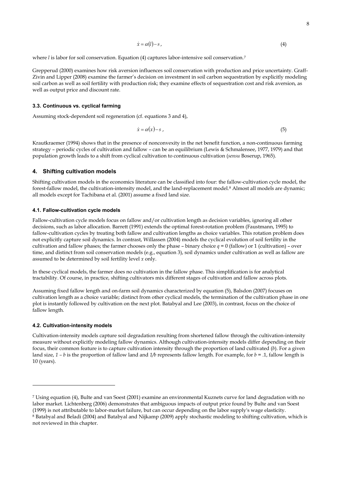$$
\dot{x} = \alpha(l) - s \tag{4}
$$

where *l* is labor for soil conservation. Equation (4) captures labor-intensive soil conservation.<sup>7</sup>

Grepperud (2000) examines how risk aversion influences soil conservation with production and price uncertainty. Graff-Zivin and Lipper (2008) examine the farmer's decision on investment in soil carbon sequestration by explicitly modeling soil carbon as well as soil fertility with production risk; they examine effects of sequestration cost and risk aversion, as well as output price and discount rate.

#### **3.3. Continuous vs. cyclical farming**

Assuming stock-dependent soil regeneration (cf. equations 3 and 4),

$$
\dot{x} = \alpha(x) - s \tag{5}
$$

Krautkraemer (1994) shows that in the presence of nonconvexity in the net benefit function, a non-continuous farming strategy – periodic cycles of cultivation and fallow – can be an equilibrium (Lewis & Schmalensee, 1977, 1979) and that population growth leads to a shift from cyclical cultivation to continuous cultivation (*sensu* Boserup, 1965).

#### **4. Shifting cultivation models**

Shifting cultivation models in the economics literature can be classified into four: the fallow-cultivation cycle model, the forest-fallow model, the cultivation-intensity model, and the land-replacement model.8 Almost all models are dynamic; all models except for Tachibana et al. (2001) assume a fixed land size.

#### **4.1. Fallow-cultivation cycle models**

Fallow-cultivation cycle models focus on fallow and/or cultivation length as decision variables, ignoring all other decisions, such as labor allocation. Barrett (1991) extends the optimal forest-rotation problem (Faustmann, 1995) to fallow-cultivation cycles by treating both fallow and cultivation lengths as choice variables. This rotation problem does not explicitly capture soil dynamics. In contrast, Willassen (2004) models the cyclical evolution of soil fertility in the cultivation and fallow phases; the farmer chooses only the phase – binary choice  $q = 0$  (fallow) or 1 (cultivation) – over time, and distinct from soil conservation models (e.g., equation 3), soil dynamics under cultivation as well as fallow are assumed to be determined by soil fertility level *x* only.

In these cyclical models, the farmer does no cultivation in the fallow phase. This simplification is for analytical tractability. Of course, in practice, shifting cultivators mix different stages of cultivation and fallow across plots.

Assuming fixed fallow length and on-farm soil dynamics characterized by equation (5), Balsdon (2007) focuses on cultivation length as a choice variable; distinct from other cyclical models, the termination of the cultivation phase in one plot is instantly followed by cultivation on the next plot. Batabyal and Lee (2003), in contrast, focus on the choice of fallow length.

#### **4.2. Cultivation-intensity models**

1

Cultivation-intensity models capture soil degradation resulting from shortened fallow through the cultivation-intensity measure without explicitly modeling fallow dynamics. Although cultivation-intensity models differ depending on their focus, their common feature is to capture cultivation intensity through the proportion of land cultivated (*b*). For a given land size, *1 – b* is the proportion of fallow land and *1/b* represents fallow length. For example, for *b* = .1, fallow length is 10 (years).

<sup>7</sup> Using equation (4), Bulte and van Soest (2001) examine an environmental Kuznets curve for land degradation with no labor market. Lichtenberg (2006) demonstrates that ambiguous impacts of output price found by Bulte and van Soest (1999) is not attributable to labor-market failure, but can occur depending on the labor supply's wage elasticity.

<sup>8</sup> Batabyal and Beladi (2004) and Batabyal and Nijkamp (2009) apply stochastic modeling to shifting cultivation, which is not reviewed in this chapter.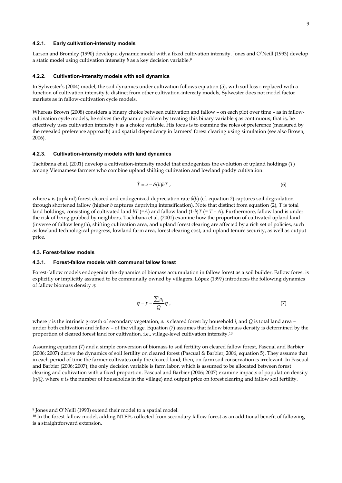#### **4.2.1. Early cultivation-intensity models**

Larson and Bromley (1990) develop a dynamic model with a fixed cultivation intensity. Jones and O'Neill (1993) develop a static model using cultivation intensity *b* as a key decision variable.9

#### **4.2.2. Cultivation-intensity models with soil dynamics**

In Sylwester's (2004) model, the soil dynamics under cultivation follows equation (5), with soil loss *s* replaced with a function of cultivation intensity *b*; distinct from other cultivation-intensity models, Sylwester does not model factor markets as in fallow-cultivation cycle models.

Whereas Brown (2008) considers a binary choice between cultivation and fallow – on each plot over time – as in fallowcultivation cycle models, he solves the dynamic problem by treating this binary variable *q* as continuous; that is, he effectively uses cultivation intensity *b* as a choice variable. His focus is to examine the roles of preference (measured by the revealed preference approach) and spatial dependency in farmers' forest clearing using simulation (see also Brown, 2006).

#### **4.2.3. Cultivation-intensity models with land dynamics**

Tachibana et al. (2001) develop a cultivation-intensity model that endogenizes the evolution of upland holdings (*T*) among Vietnamese farmers who combine upland shifting cultivation and lowland paddy cultivation:

$$
\dot{T} = a - \delta(b)bT \tag{6}
$$

where *a* is (upland) forest cleared and endogenized depreciation rate  $\delta(b)$  (cf. equation 2) captures soil degradation through shortened fallow (higher *b* captures depriving intensification). Note that distinct from equation (2), *T* is total land holdings, consisting of cultivated land *bT* (=*A*) and fallow land (1-*b*)*T* (= *T – A*). Furthermore, fallow land is under the risk of being grabbed by neighbors. Tachibana et al. (2001) examine how the proportion of cultivated upland land (inverse of fallow length), shifting cultivation area, and upland forest clearing are affected by a rich set of policies, such as lowland technological progress, lowland farm area, forest clearing cost, and upland tenure security, as well as output price.

#### **4.3. Forest-fallow models**

1

#### **4.3.1. Forest-fallow models with communal fallow forest**

Forest-fallow models endogenize the dynamics of biomass accumulation in fallow forest as a soil builder. Fallow forest is explicitly or implicitly assumed to be communally owned by villagers. López (1997) introduces the following dynamics of fallow biomass density  $\eta$ :

$$
\dot{\eta} = \gamma - \frac{\sum_{i} a_i}{Q} \eta \tag{7}
$$

where  $\gamma$  is the intrinsic growth of secondary vegetation,  $a_i$  is cleared forest by household *i*, and *Q* is total land area – under both cultivation and fallow – of the village. Equation (7) assumes that fallow biomass density is determined by the proportion of cleared forest land for cultivation, i.e., village-level cultivation intensity.10

Assuming equation (7) and a simple conversion of biomass to soil fertility on cleared fallow forest, Pascual and Barbier (2006; 2007) derive the dynamics of soil fertility on cleared forest (Pascual & Barbier, 2006, equation 5). They assume that in each period of time the farmer cultivates only the cleared land; then, on-farm soil conservation is irrelevant. In Pascual and Barbier (2006; 2007), the only decision variable is farm labor, which is assumed to be allocated between forest clearing and cultivation with a fixed proportion. Pascual and Barbier (2006; 2007) examine impacts of population density (*n/Q*, where *n* is the number of households in the village) and output price on forest clearing and fallow soil fertility.

<sup>9</sup> Jones and O'Neill (1993) extend their model to a spatial model.

<sup>&</sup>lt;sup>10</sup> In the forest-fallow model, adding NTFPs collected from secondary fallow forest as an additional benefit of fallowing is a straightforward extension.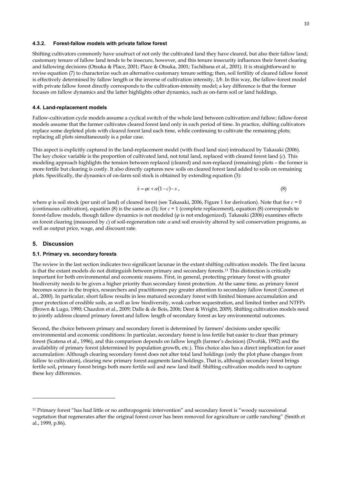#### **4.3.2. Forest-fallow models with private fallow forest**

Shifting cultivators commonly have usufruct of not only the cultivated land they have cleared, but also their fallow land; customary tenure of fallow land tends to be insecure, however, and this tenure insecurity influences their forest clearing and fallowing decisions (Otsuka & Place, 2001; Place & Otsuka, 2001; Tachibana et al., 2001). It is straightforward to revise equation (7) to characterize such an alternative customary tenure setting; then, soil fertility of cleared fallow forest is effectively determined by fallow length or the inverse of cultivation intensity, *1/b*. In this way, the fallow-forest model with private fallow forest directly corresponds to the cultivation-intensity model; a key difference is that the former focuses on fallow dynamics and the latter highlights other dynamics, such as on-farm soil or land holdings.

#### **4.4. Land-replacement models**

Fallow-cultivation cycle models assume a cyclical switch of the whole land between cultivation and fallow; fallow-forest models assume that the farmer cultivates cleared forest land only in each period of time. In practice, shifting cultivators replace some depleted plots with cleared forest land each time, while continuing to cultivate the remaining plots; replacing all plots simultaneously is a polar case.

This aspect is explicitly captured in the land-replacement model (with fixed land size) introduced by Takasaki (2006). The key choice variable is the proportion of cultivated land, not total land, replaced with cleared forest land (*c*). This modeling approach highlights the tension between replaced (cleared) and non-replaced (remaining) plots – the former is more fertile but clearing is costly. It also directly captures new soils on cleared forest land added to soils on remaining plots. Specifically, the dynamics of on-farm soil stock is obtained by extending equation (3):

$$
\dot{x} = \varphi c + \alpha (1 - c) - s \tag{8}
$$

where  $\varphi$  is soil stock (per unit of land) of cleared forest (see Takasaki, 2006, Figure 1 for derivation). Note that for  $c = 0$ (continuous cultivation), equation (8) is the same as (3); for  $c = 1$  (complete replacement), equation (8) corresponds to forest-fallow models, though fallow dynamics is not modeled ( $\varphi$  is not endogenized). Takasaki (2006) examines effects on forest clearing (measured by  $c$ ) of soil-regeneration rate  $\alpha$  and soil erosivity altered by soil conservation programs, as well as output price, wage, and discount rate.

#### **5. Discussion**

1

#### **5.1. Primary vs. secondary forests**

The review in the last section indicates two significant lacunae in the extant shifting cultivation models. The first lacuna is that the extant models do not distinguish between primary and secondary forests.11 This distinction is critically important for both environmental and economic reasons. First, in general, protecting primary forest with greater biodiversity needs to be given a higher priority than secondary forest protection. At the same time, as primary forest becomes scarce in the tropics, researchers and practitioners pay greater attention to secondary fallow forest (Coomes et al., 2000). In particular, short fallow results in less matured secondary forest with limited biomass accumulation and poor protection of erodible soils, as well as low biodiversity, weak carbon sequestration, and limited timber and NTFPs (Brown & Lugo, 1990; Chazdon et al., 2009; Dalle & de Bois, 2006; Dent & Wright, 2009). Shifting cultivation models need to jointly address cleared primary forest and fallow length of secondary forest as key environmental outcomes.

Second, the choice between primary and secondary forest is determined by farmers' decisions under specific environmental and economic conditions: In particular, secondary forest is less fertile but easier to clear than primary forest (Scatena et al., 1996), and this comparison depends on fallow length (farmer's decision) (Dvořàk, 1992) and the availability of primary forest (determined by population growth, etc.). This choice also has a direct implication for asset accumulation: Although clearing secondary forest does not alter total land holdings (only the plot phase changes from fallow to cultivation), clearing new primary forest augments land holdings. That is, although secondary forest brings fertile soil, primary forest brings both more fertile soil and new land itself. Shifting cultivation models need to capture these key differences.

<sup>11</sup> Primary forest "has had little or no anthropogenic intervention" and secondary forest is "woody successional vegetation that regenerates after the original forest cover has been removed for agriculture or cattle ranching" (Smith et al., 1999, p.86).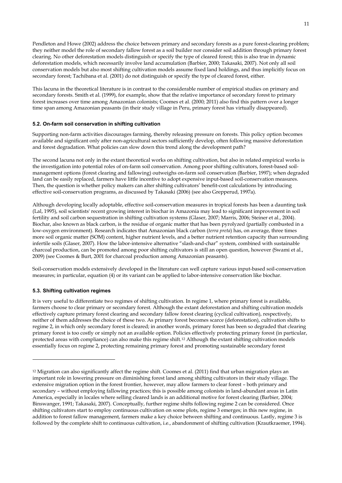Pendleton and Howe (2002) address the choice between primary and secondary forests as a pure forest-clearing problem; they neither model the role of secondary fallow forest as a soil builder nor consider soil addition through primary forest clearing. No other deforestation models distinguish or specify the type of cleared forest; this is also true in dynamic deforestation models, which necessarily involve land accumulation (Barbier, 2000; Takasaki, 2007). Not only all soil conservation models but also most shifting cultivation models assume fixed land holdings, and thus implicitly focus on secondary forest; Tachibana et al. (2001) do not distinguish or specify the type of cleared forest, either.

This lacuna in the theoretical literature is in contrast to the considerable number of empirical studies on primary and secondary forests. Smith et al. (1999), for example, show that the relative importance of secondary forest to primary forest increases over time among Amazonian colonists; Coomes et al. (2000; 2011) also find this pattern over a longer time span among Amazonian peasants (in their study village in Peru, primary forest has virtually disappeared).

## **5.2. On-farm soil conservation in shifting cultivation**

Supporting non-farm activities discourages farming, thereby releasing pressure on forests. This policy option becomes available and significant only after non-agricultural sectors sufficiently develop, often following massive deforestation and forest degradation. What policies can slow down this trend along the development path?

The second lacuna not only in the extant theoretical works on shifting cultivation, but also in related empirical works is the investigation into potential roles of on-farm soil conservation. Among poor shifting cultivators, forest-based soilmanagement options (forest clearing and fallowing) outweighs on-farm soil conservation (Barbier, 1997); when degraded land can be easily replaced, farmers have little incentive to adopt expensive input-based soil-conservation measures. Then, the question is whether policy makers can alter shifting cultivators' benefit-cost calculations by introducing effective soil-conservation programs, as discussed by Takasaki (2006) (see also Grepperud, 1997a).

Although developing locally adoptable, effective soil-conservation measures in tropical forests has been a daunting task (Lal, 1995), soil scientists' recent growing interest in biochar in Amazonia may lead to significant improvement in soil fertility and soil carbon sequestration in shifting cultivation systems (Glaser, 2007; Marris, 2006; Steiner et al., 2004). Biochar, also known as black carbon, is the residue of organic matter that has been pyrolyzed (partially combusted in a low-oxygen environment). Research indicates that Amazonian black carbon (*terra preta*) has, on average, three times more soil organic matter (SOM) content, higher nutrient levels, and a better nutrient retention capacity than surrounding infertile soils (Glaser, 2007). How the labor-intensive alternative "slash-and-char" system, combined with sustainable charcoal production, can be promoted among poor shifting cultivators is still an open question, however (Swami et al., 2009) (see Coomes & Burt, 2001 for charcoal production among Amazonian peasants).

Soil-conservation models extensively developed in the literature can well capture various input-based soil-conservation measures; in particular, equation (4) or its variant can be applied to labor-intensive conservation like biochar.

#### **5.3. Shifting cultivation regimes**

1

It is very useful to differentiate two regimes of shifting cultivation. In regime 1, where primary forest is available, farmers choose to clear primary or secondary forest. Although the extant deforestation and shifting cultivation models effectively capture primary forest clearing and secondary fallow forest clearing (cyclical cultivation), respectively, neither of them addresses the choice of these two. As primary forest becomes scarce (deforestation), cultivation shifts to regime 2, in which only secondary forest is cleared; in another words, primary forest has been so degraded that clearing primary forest is too costly or simply not an available option. Policies effectively protecting primary forest (in particular, protected areas with compliance) can also make this regime shift.12 Although the extant shifting cultivation models essentially focus on regime 2, protecting remaining primary forest and promoting sustainable secondary forest

<sup>&</sup>lt;sup>12</sup> Migration can also significantly affect the regime shift. Coomes et al. (2011) find that urban migration plays an important role in lowering pressure on diminishing forest land among shifting cultivators in their study village. The extensive migration option in the forest frontier, however, may allow farmers to clear forest – both primary and secondary – without employing fallowing practices; this is possible among colonists in land-abundant areas in Latin America, especially in locales where selling cleared lands is an additional motive for forest clearing (Barbier, 2004; Binswanger, 1991; Takasaki, 2007). Conceptually, further regime shifts following regime 2 can be considered. Once shifting cultivators start to employ continuous cultivation on some plots, regime 3 emerges; in this new regime, in addition to forest fallow management, farmers make a key choice between shifting and continuous. Lastly, regime 3 is followed by the complete shift to continuous cultivation, i.e., abandonment of shifting cultivation (Krautkraemer, 1994).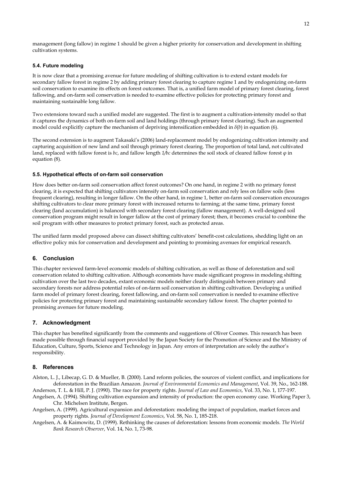management (long fallow) in regime 1 should be given a higher priority for conservation and development in shifting cultivation systems.

### **5.4. Future modeling**

It is now clear that a promising avenue for future modeling of shifting cultivation is to extend extant models for secondary fallow forest in regime 2 by adding primary forest clearing to capture regime 1 and by endogenizing on-farm soil conservation to examine its effects on forest outcomes. That is, a unified farm model of primary forest clearing, forest fallowing, and on-farm soil conservation is needed to examine effective policies for protecting primary forest and maintaining sustainable long fallow.

Two extensions toward such a unified model are suggested. The first is to augment a cultivation-intensity model so that it captures the dynamics of both on-farm soil and land holdings (through primary forest clearing). Such an augmented model could explicitly capture the mechanism of depriving intensification embedded in  $\delta(b)$  in equation (6).

The second extension is to augment Takasaki's (2006) land-replacement model by endogenizing cultivation intensity and capturing acquisition of new land and soil through primary forest clearing. The proportion of total land, not cultivated land, replaced with fallow forest is *bc*, and fallow length  $1/bc$  determines the soil stock of cleared fallow forest  $\varphi$  in equation (8).

#### **5.5. Hypothetical effects of on-farm soil conservation**

How does better on-farm soil conservation affect forest outcomes? On one hand, in regime 2 with no primary forest clearing, it is expected that shifting cultivators intensify on-farm soil conservation and rely less on fallow soils (less frequent clearing), resulting in longer fallow. On the other hand, in regime 1, better on-farm soil conservation encourages shifting cultivators to clear more primary forest with increased returns to farming; at the same time, primary forest clearing (land accumulation) is balanced with secondary forest clearing (fallow management). A well-designed soil conservation program might result in longer fallow at the cost of primary forest; then, it becomes crucial to combine the soil program with other measures to protect primary forest, such as protected areas.

The unified farm model proposed above can dissect shifting cultivators' benefit-cost calculations, shedding light on an effective policy mix for conservation and development and pointing to promising avenues for empirical research.

# **6. Conclusion**

This chapter reviewed farm-level economic models of shifting cultivation, as well as those of deforestation and soil conservation related to shifting cultivation. Although economists have made significant progress in modeling shifting cultivation over the last two decades, extant economic models neither clearly distinguish between primary and secondary forests nor address potential roles of on-farm soil conservation in shifting cultivation. Developing a unified farm model of primary forest clearing, forest fallowing, and on-farm soil conservation is needed to examine effective policies for protecting primary forest and maintaining sustainable secondary fallow forest. The chapter pointed to promising avenues for future modeling.

# **7. Acknowledgment**

This chapter has benefited significantly from the comments and suggestions of Oliver Coomes. This research has been made possible through financial support provided by the Japan Society for the Promotion of Science and the Ministry of Education, Culture, Sports, Science and Technology in Japan. Any errors of interpretation are solely the author's responsibility.

# **8. References**

Alston, L. J., Libecap, G. D. & Mueller, B. (2000). Land reform policies, the sources of violent conflict, and implications for deforestation in the Brazilian Amazon. *Journal of Environmental Economics and Management*, Vol. 39, No., 162-188.

Anderson, T. L. & Hill, P. J. (1990). The race for property rights. *Journal of Law and Economics*, Vol. 33, No. 1, 177-197. Angelsen, A. (1994). Shifting cultivation expansion and intensity of production: the open economy case. Working Paper 3, Chr. Michelsen Institute, Bergen.

Angelsen, A. (1999). Agricultural expansion and deforestation: modeling the impact of population, market forces and property rights. *Journal of Development Economics*, Vol. 58, No. 1, 185-218.

Angelsen, A. & Kaimowitz, D. (1999). Rethinking the causes of deforestation: lessons from economic models. *The World Bank Research Observer*, Vol. 14, No. 1, 73-98.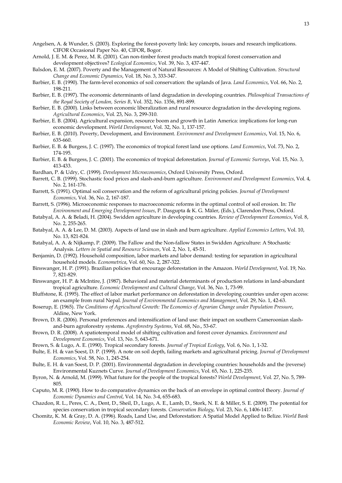- Angelsen, A. & Wunder, S. (2003). Exploring the forest-poverty link: key concepts, issues and research implications. CIFOR Occasional Paper No. 40, CIFOR, Bogor.
- Arnold, J. E. M. & Perez, M. R. (2001). Can non-timber forest products match tropical forest conservation and development objectives? *Ecological Economics*, Vol. 39, No. 3, 437-447.
- Balsdon, E. M. (2007). Poverty and the Management of Natural Resources: A Model of Shifting Cultivation. *Structural Change and Economic Dynamics*, Vol. 18, No. 3, 333-347.
- Barbier, E. B. (1990). The farm-level economics of soil conservation: the uplands of Java. *Land Economics*, Vol. 66, No. 2, 198-211.
- Barbier, E. B. (1997). The economic determinants of land degradation in developing countries. *Philosophical Transactions of the Royal Society of London, Series B*, Vol. 352, No. 1356, 891-899.
- Barbier, E. B. (2000). Links between economic liberalization and rural resource degradation in the developing regions. *Agricultural Economics*, Vol. 23, No. 3, 299-310.
- Barbier, E. B. (2004). Agricultural expansion, resource boom and growth in Latin America: implications for long-run economic development. *World Development*, Vol. 32, No. 1, 137-157.
- Barbier, E. B. (2010). Poverty, Development, and Environment. *Environment and Development Economics*, Vol. 15, No. 6, 635-660.
- Barbier, E. B. & Burgess, J. C. (1997). The economics of tropical forest land use options. *Land Economics*, Vol. 73, No. 2, 174-195.
- Barbier, E. B. & Burgess, J. C. (2001). The economics of tropical deforestation. *Journal of Economic Surveys*, Vol. 15, No. 3, 413-433.
- Bardhan, P. & Udry, C. (1999). *Development Microeconomics*, Oxford University Press, Oxford.
- Barrett, C. B. (1999). Stochastic food prices and slash-and-burn agriculture. *Environment and Development Economics*, Vol. 4, No. 2, 161-176.
- Barrett, S. (1991). Optimal soil conservation and the reform of agricultural pricing policies. *Journal of Development Economics*, Vol. 36, No. 2, 167-187.
- Barrett, S. (1996). Microeconomic responses to macroeconomic reforms in the optimal control of soil erosion. In: *The Environment and Emerging Development Issues*, P. Dasgupta & K. G. Mäler, (Eds.), Clarendon Press, Oxford.
- Batabyal, A. A. & Beladi, H. (2004). Swidden agriculture in developing countries. *Review of Development Economics*, Vol. 8, No. 2, 255-265.
- Batabyal, A. A. & Lee, D. M. (2003). Aspects of land use in slash and burn agriculture. *Applied Economics Letters*, Vol. 10, No. 13, 821-824.
- Batabyal, A. A. & Nijkamp, P. (2009). The Fallow and the Non-fallow States in Swidden Agriculture: A Stochastic Analysis. *Letters in Spatial and Resource Sciences*, Vol. 2, No. 1, 45-51.
- Benjamin, D. (1992). Household composition, labor markets and labor demand: testing for separation in agricultural household models. *Econometrica*, Vol. 60, No. 2, 287-322.
- Binswanger, H. P. (1991). Brazilian policies that encourage deforestation in the Amazon. *World Development*, Vol. 19, No. 7, 821-829.
- Binswanger, H. P. & McIntire, J. (1987). Behavioral and material determinants of production relations in land-abundant tropical agriculture. *Economic Development and Cultural Change*, Vol. 36, No. 1, 73-99.
- Bluffstone, R. (1995). The effect of labor market performance on deforestation in developing countries under open access: an example from rural Nepal. *Journal of Environmental Economics and Management*, Vol. 29, No. 1, 42-63.
- Boserup, E. (1965). *The Conditions of Agricultural Growth: The Economics of Agrarian Change under Population Pressure*, Aldine, New York.
- Brown, D. R. (2006). Personal preferences and intensification of land use: their impact on southern Cameroonian slashand-burn agroforestry systems. *Agroforestry Systems*, Vol. 68, No., 53-67.
- Brown, D. R. (2008). A spatiotemporal model of shifting cultivation and forest cover dynamics. *Environment and Development Economics*, Vol. 13, No. 5, 643-671.
- Brown, S. & Lugo, A. E. (1990). Tropical secondary forests. *Journal of Tropical Ecology*, Vol. 6, No. 1, 1-32.
- Bulte, E. H. & van Soest, D. P. (1999). A note on soil depth, failing markets and agricultural pricing. *Journal of Development Economics*, Vol. 58, No. 1, 245-254.
- Bulte, E. H. & van Soest, D. P. (2001). Environmental degradation in developing countries: households and the (reverse) Environmental Kuznets Curve. *Journal of Development Economics*, Vol. 65, No. 1, 225-235.
- Byron, N. & Arnold, M. (1999). What future for the people of the tropical forests? *World Development*, Vol. 27, No. 5, 789- 805.
- Caputo, M. R. (1990). How to do comparative dynamics on the back of an envelope in optimal control theory. *Journal of Economic Dynamics and Control*, Vol. 14, No. 3-4, 655-683.
- Chazdon, R. L., Peres, C. A., Dent, D., Sheil, D., Lugo, A. E., Lamb, D., Stork, N. E. & Miller, S. E. (2009). The potential for species conservation in tropical secondary forests. *Conservation Biology*, Vol. 23, No. 6, 1406-1417.
- Chomitz, K. M. & Gray, D. A. (1996). Roads, Land Use, and Deforestation: A Spatial Model Applied to Belize. *World Bank Economic Review*, Vol. 10, No. 3, 487-512.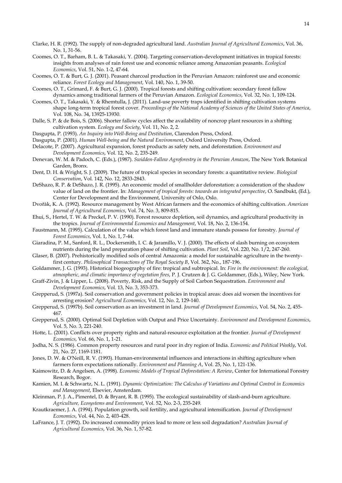- Clarke, H. R. (1992). The supply of non-degraded agricultural land. *Australian Journal of Agricultural Economics*, Vol. 36, No. 1, 31-56.
- Coomes, O. T., Barham, B. L. & Takasaki, Y. (2004). Targeting conservation-development initiatives in tropical forests: insights from analyses of rain forest use and economic reliance among Amazonian peasants. *Ecological Economics*, Vol. 51, No. 1-2, 47-64.
- Coomes, O. T. & Burt, G. J. (2001). Peasant charcoal production in the Peruvian Amazon: rainforest use and economic reliance. *Forest Ecology and Management*, Vol. 140, No. 1, 39-50.
- Coomes, O. T., Grimard, F. & Burt, G. J. (2000). Tropical forests and shifting cultivation: secondary forest fallow dynamics among traditional farmers of the Peruvian Amazon. *Ecological Economics*, Vol. 32, No. 1, 109-124.
- Coomes, O. T., Takasaki, Y. & Rhemtulla, J. (2011). Land-use poverty traps identified in shifting cultivation systems shape long-term tropical forest cover. *Proceedings of the National Academy of Sciences of the United States of America*, Vol. 108, No. 34, 13925-13930.
- Dalle, S. P. & de Bois, S. (2006). Shorter fallow cycles affect the availability of noncrop plant resources in a shifting cultivation system. *Ecology and Society*, Vol. 11, No. 2, 2.
- Dasgupta, P. (1993). *An Inquiry into Well-Being and Destitution*, Clarendon Press, Oxford.
- Dasgupta, P. (2001). *Human Well-being and the Natural Environment*, Oxford University Press, Oxford.
- Delacote, P. (2007). Agricultural expansion, forest products as safety nets, and deforestation. *Environment and Development Economics*, Vol. 12, No. 2, 235-249.
- Denevan, W. M. & Padoch, C. (Eds.), (1987). *Swidden-Fallow Agroforestry in the Peruvian Amazon*, The New York Botanical Garden, Bronx.
- Dent, D. H. & Wright, S. J. (2009). The future of tropical species in secondary forests: a quantitative review. *Biological Conservation*, Vol. 142, No. 12, 2833-2843.
- DeShazo, R. P. & DeShazo, J. R. (1995). An economic model of smallholder deforestation: a consideration of the shadow value of land on the frontier. In: *Management of tropical forests: towards an integrated perspective*, O. Sandbukt, (Ed.), Center for Development and the Environment, University of Oslo, Oslo.
- Dvořàk, K. A. (1992). Resource management by West African farmers and the economics of shifting cultivation. *American Journal of Agricultural Economics*, Vol. 74, No. 3, 809-815.
- Ehui, S., Hertel, T. W. & Preckel, P. V. (1990). Forest resource depletion, soil dynamics, and agricultural productivity in the tropics. *Journal of Environmental Economics and Management*, Vol. 18, No. 2, 136-154.
- Faustmann, M. (1995). Calculation of the value which forest land and immature stands possess for forestry. *Journal of Forest Economics*, Vol. 1, No. 1, 7-44.
- Giaradina, P. M., Sanford, R. L., Dockersmith, I. C. & Jaramillo, V. J. (2000). The effects of slash burning on ecosystem nutrients during the land preparation phase of shifting cultivation. *Plant Soil*, Vol. 220, No. 1/2, 247-260.
- Glaser, B. (2007). Prehistorically modified soils of central Amazonia: a model for sustainable agriculture in the twentyfirst century. *Philosophical Transactions of The Royal Society B*, Vol. 362, No., 187-196.
- Goldammer, J. G. (1993). Historical biogeography of fire: tropical and subtropical. In: *Fire in the environment: the ecological, atmospheric, and climatic importance of vegetation fires*, P. J. Crutzen & J. G. Goldammer, (Eds.), Wiley, New York.
- Graff-Zivin, J. & Lipper, L. (2008). Poverty, Risk, and the Supply of Soil Carbon Sequestration. *Environment and Development Economics*, Vol. 13, No. 3, 353-373.
- Grepperud, S. (1997a). Soil conservation and government policies in tropical areas: does aid worsen the incentives for arresting erosion? *Agricultural Economics*, Vol. 12, No. 2, 129-140.
- Grepperud, S. (1997b). Soil conservation as an investment in land. *Journal of Development Economics*, Vol. 54, No. 2, 455- 467.
- Grepperud, S. (2000). Optimal Soil Depletion with Output and Price Uncertainty. *Environment and Development Economics*, Vol. 5, No. 3, 221-240.
- Hotte, L. (2001). Conflicts over property rights and natural-resource exploitation at the frontier. *Journal of Development Economics*, Vol. 66, No. 1, 1-21.
- Jodha, N. S. (1986). Common property resources and rural poor in dry region of India. *Economic and Political Weekly*, Vol. 21, No. 27, 1169-1181.
- Jones, D. W. & O'Neill, R. V. (1993). Human-environmental influences and interactions in shifting agriculture when farmers form expectations rationally. *Environment and Planning A*, Vol. 25, No. 1, 121-136.
- Kaimowitz, D. & Angelsen, A. (1998). *Economic Models of Tropical Deforestation: A Review*, Center for International Forestry Research, Bogor.
- Kamien, M. I. & Schwartz, N. L. (1991). *Dynamic Optimization: The Calculus of Variations and Optimal Control in Economics and Management*, Elsevier, Amsterdam.
- Kleinman, P. J. A., Pimentel, D. & Bryant, R. B. (1995). The ecological sustainability of slash-and-burn agriculture. *Agriculture, Ecosystems and Environment*, Vol. 52, No. 2-3, 235-249.
- Krautkraemer, J. A. (1994). Population growth, soil fertility, and agricultural intensification. *Journal of Development Economics*, Vol. 44, No. 2, 403-428.
- LaFrance, J. T. (1992). Do increased commodity prices lead to more or less soil degradation? *Australian Journal of Agricultural Economics*, Vol. 36, No. 1, 57-82.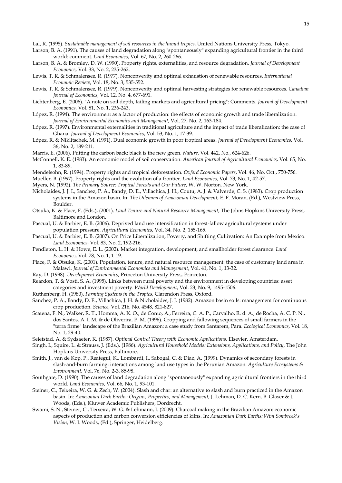Lal, R. (1995). *Sustainable management of soil resources in the humid tropics*, United Nations University Press, Tokyo.

- Larson, B. A. (1991). The causes of land degradation along "spontaneously" expanding agricultural frontier in the third world: comment. *Land Economics*, Vol. 67, No. 2, 260-266.
- Larson, B. A. & Bromley, D. W. (1990). Property rights, externalities, and resource degradation. *Journal of Development Economics*, Vol. 33, No. 2, 235-262.
- Lewis, T. R. & Schmalensee, R. (1977). Nonconvexity and optimal exhaustion of renewable resources. *International Economic Review*, Vol. 18, No. 3, 535-552.
- Lewis, T. R. & Schmalensee, R. (1979). Nonconvexity and optimal harvesting strategies for renewable resources. *Canadian Journal of Economics*, Vol. 12, No. 4, 677-691.
- Lichtenberg, E. (2006). "A note on soil depth, failing markets and agricultural pricing": Comments. *Journal of Development Economics*, Vol. 81, No. 1, 236-243.
- López, R. (1994). The environment as a factor of production: the effects of economic growth and trade liberalization. *Journal of Environmental Economics and Management*, Vol. 27, No. 2, 163-184.
- López, R. (1997). Environmental externalities in traditional agriculture and the impact of trade liberalization: the case of Ghana. *Journal of Development Economics*, Vol. 53, No. 1, 17-39.
- López, R. & Niklitschek, M. (1991). Dual economic growth in poor tropical areas. *Journal of Development Economics*, Vol. 36, No. 2, 189-211.
- Marris, E. (2006). Putting the carbon back: black is the new green. *Nature*, Vol. 442, No., 624-626.
- McConnell, K. E. (1983). An economic model of soil conservation. *American Journal of Agricultural Economics*, Vol. 65, No. 1, 83-89.
- Mendelsohn, R. (1994). Property rights and tropical deforestation. *Oxford Economic Papers*, Vol. 46, No. Oct., 750-756.
- Mueller, B. (1997). Property rights and the evolution of a frontier. *Land Economics*, Vol. 73, No. 1, 42-57.
- Myers, N. (1992). *The Primary Source: Tropical Forests and Our Future*, W. W. Norton, New York.
- Nicholaides, J. J. I., Sanchez, P. A., Bandy, D. E., Villachica, J. H., Coutu, A. J. & Valverde, C. S. (1983). Crop production systems in the Amazon basin. In: *The Dilemma of Amazonian Development*, E. F. Moran, (Ed.), Westview Press, Boulder.
- Otsuka, K. & Place, F. (Eds.), (2001). *Land Tenure and Natural Resource Management*, The Johns Hopkins University Press, Baltimore and London.
- Pascual, U. & Barbier, E. B. (2006). Deprived land use intensification in forest-fallow agricultural systems under population pressure. *Agricultural Economics*, Vol. 34, No. 2, 155-165.
- Pascual, U. & Barbier, E. B. (2007). On Price Liberalization, Poverty, and Shifting Cultivation: An Example from Mexico. *Land Economics*, Vol. 83, No. 2, 192-216.
- Pendleton, L. H. & Howe, E. L. (2002). Market integration, development, and smallholder forest clearance. *Land Economics*, Vol. 78, No. 1, 1-19.
- Place, F. & Otsuka, K. (2001). Population, tenure, and natural resource management: the case of customary land area in Malawi. *Journal of Environmental Economics and Management*, Vol. 41, No. 1, 13-32.
- Ray, D. (1998). *Development Economics*, Princeton University Press, Princeton.
- Reardon, T. & Vosti, S. A. (1995). Links between rural poverty and the environment in developing countries: asset categories and investment poverty. *World Development*, Vol. 23, No. 9, 1495-1506.
- Ruthenberg, H. (1980). *Farming Systems in the Tropics*, Clarendon Press, Oxford.
- Sanchez, P. A., Bandy, D. E., Villachica, J. H. & Nicholaides, J. J. (1982). Amazon basin soils: management for continuous crop production. *Science*, Vol. 216, No. 4548, 821-827.
- Scatena, F. N., Walker, R. T., Homma, A. K. O., de Conto, A., Ferreira, C. A. P., Carvalho, R. d. A., de Rocha, A. C. P. N., dos Santos, A. I. M. & de Oliverira, P. M. (1996). Cropping and fallowing sequences of small farmers in the "terra firme" landscape of the Brazilian Amazon: a case study from Santarem, Para. *Ecological Economics*, Vol. 18, No. 1, 29-40.
- Seietstad, A. & Sydsaeter, K. (1987). *Optimal Control Theory with Economic Applications*, Elsevier, Amsterdam.
- Singh, I., Squire, L. & Strauss, J. (Eds.), (1986). *Agricultural Household Models: Extensions, Applications, and Policy*, The John Hopkins University Press, Baltimore.
- Smith, J., van de Kop, P., Reategui, K., Lombardi, I., Sabogal, C. & Diaz, A. (1999). Dynamics of secondary forests in slash-and-burn farming: interactions among land use types in the Peruvian Amazon. *Agriculture Ecosystems & Environment*, Vol. 76, No. 2-3, 85-98.
- Southgate, D. (1990). The causes of land degradation along "spontaneously" expanding agricultural frontiers in the third world. *Land Economics*, Vol. 66, No. 1, 93-101.
- Steiner, C., Teixeira, W. G. & Zech, W. (2004). Slash and char: an alternative to slash and burn practiced in the Amazon basin. In: *Amazonian Dark Earths: Origins, Properties, and Management*, J. Lehman, D. C. Kern, B. Glaser & J. Woods, (Eds.), Kluwer Academic Publishers, Dordrecht.
- Swami, S. N., Steiner, C., Teixeira, W. G. & Lehmann, J. (2009). Charcoal making in the Brazilian Amazon: economic aspects of production and carbon conversion efficiencies of kilns. In: *Amazonian Dark Earths: Wim Sombroek's Vision*, W. I. Woods, (Ed.), Springer, Heidelberg.